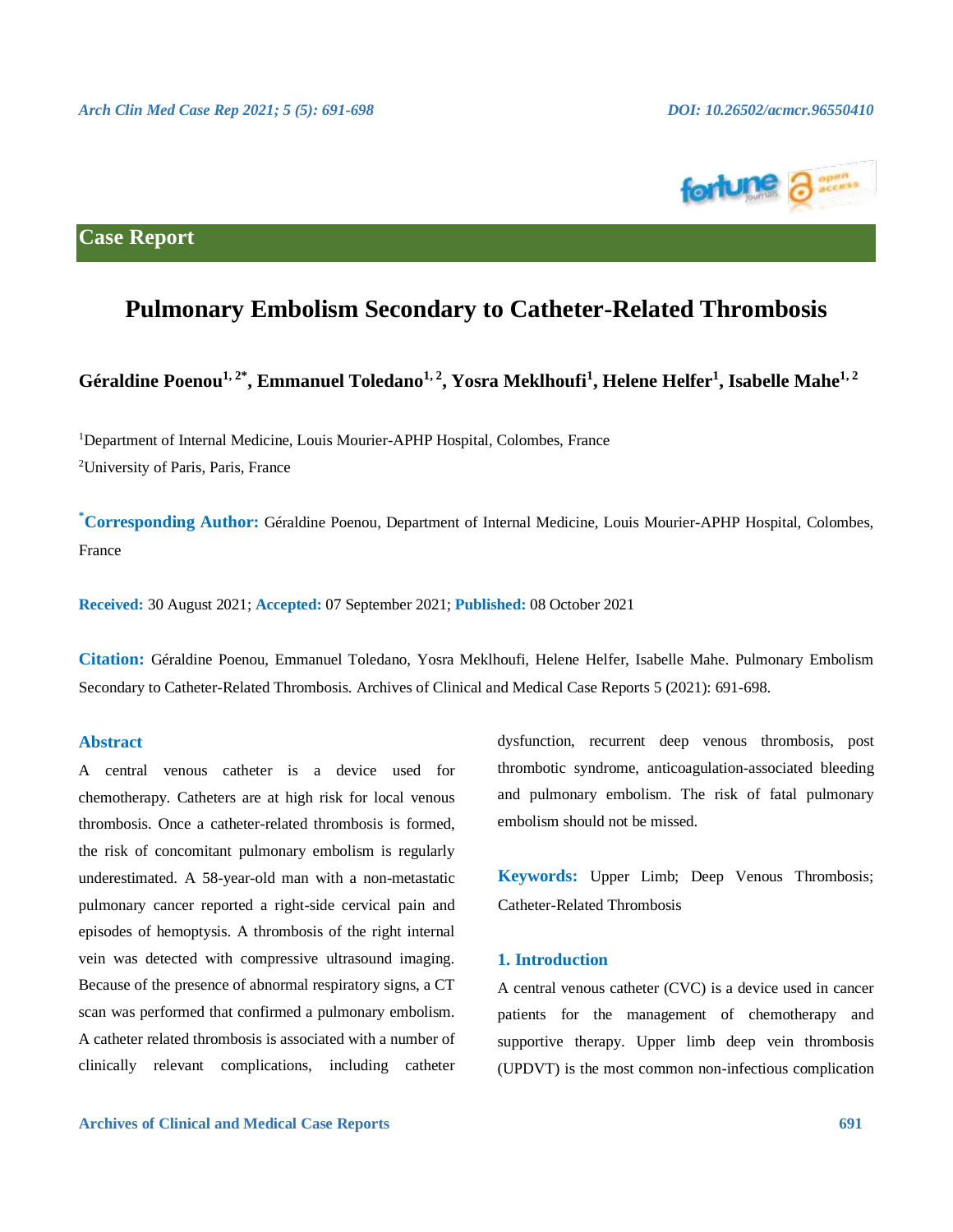

# **Case Report**

# **Pulmonary Embolism Secondary to Catheter-Related Thrombosis**

**Géraldine Poenou1, 2\* , Emmanuel Toledano1, 2 , Yosra Meklhoufi<sup>1</sup> , Helene Helfer<sup>1</sup> , Isabelle Mahe1, 2**

<sup>1</sup>Department of Internal Medicine, Louis Mourier-APHP Hospital, Colombes, France <sup>2</sup>University of Paris, Paris, France

**\*Corresponding Author:** Géraldine Poenou, Department of Internal Medicine, Louis Mourier-APHP Hospital, Colombes, France

**Received:** 30 August 2021; **Accepted:** 07 September 2021; **Published:** 08 October 2021

**Citation:** Géraldine Poenou, Emmanuel Toledano, Yosra Meklhoufi, Helene Helfer, Isabelle Mahe. Pulmonary Embolism Secondary to Catheter-Related Thrombosis. Archives of Clinical and Medical Case Reports 5 (2021): 691-698.

## **Abstract**

A central venous catheter is a device used for chemotherapy. Catheters are at high risk for local venous thrombosis. Once a catheter-related thrombosis is formed, the risk of concomitant pulmonary embolism is regularly underestimated. A 58-year-old man with a non-metastatic pulmonary cancer reported a right-side cervical pain and episodes of hemoptysis. A thrombosis of the right internal vein was detected with compressive ultrasound imaging. Because of the presence of abnormal respiratory signs, a CT scan was performed that confirmed a pulmonary embolism. A catheter related thrombosis is associated with a number of clinically relevant complications, including catheter

dysfunction, recurrent deep venous thrombosis, post thrombotic syndrome, anticoagulation-associated bleeding and pulmonary embolism. The risk of fatal pulmonary embolism should not be missed.

**Keywords:** Upper Limb; Deep Venous Thrombosis; Catheter-Related Thrombosis

### **1. Introduction**

A central venous catheter (CVC) is a device used in cancer patients for the management of chemotherapy and supportive therapy. Upper limb deep vein thrombosis (UPDVT) is the most common non-infectious complication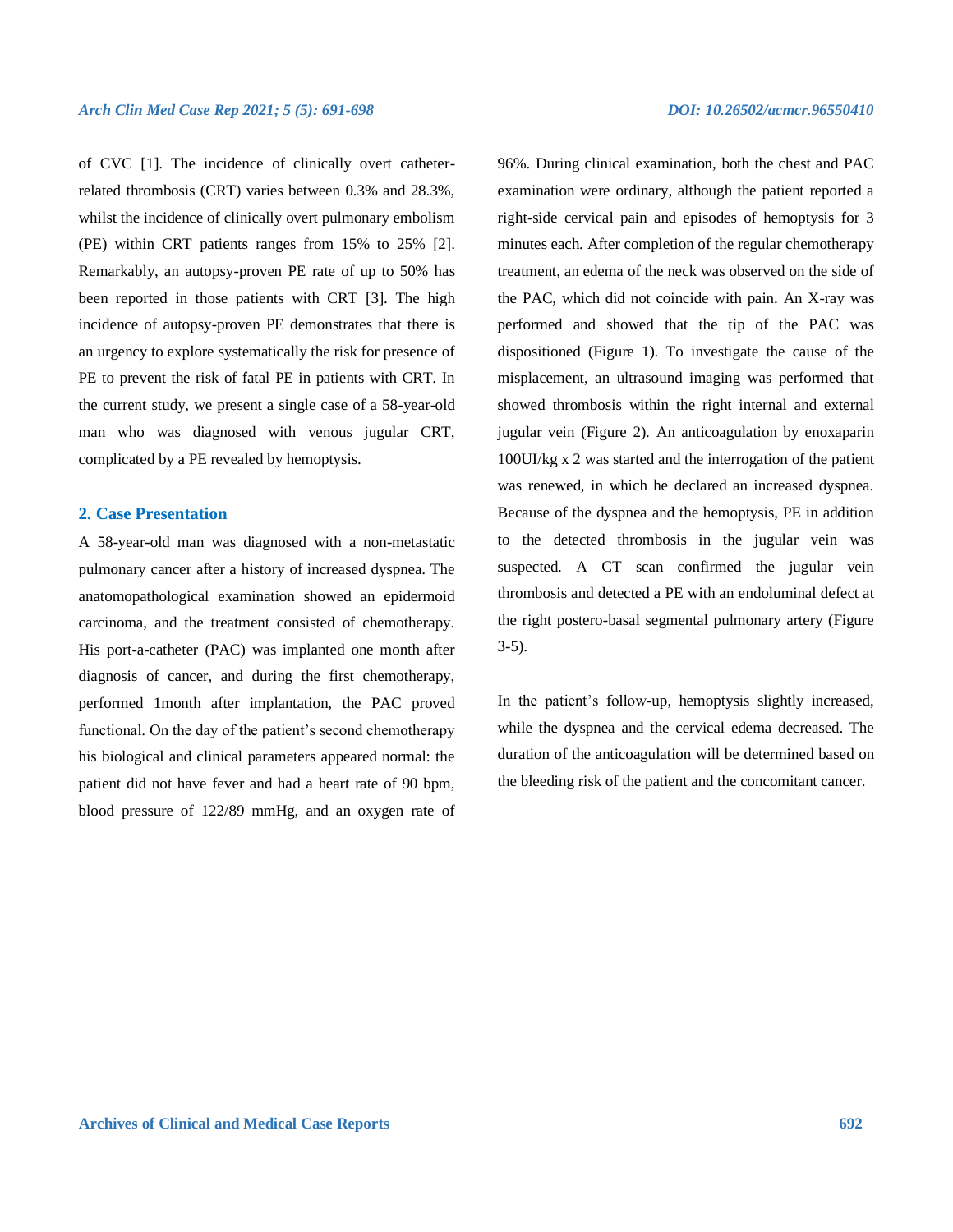of CVC [1]. The incidence of clinically overt catheterrelated thrombosis (CRT) varies between 0.3% and 28.3%, whilst the incidence of clinically overt pulmonary embolism (PE) within CRT patients ranges from 15% to 25% [2]. Remarkably, an autopsy-proven PE rate of up to 50% has been reported in those patients with CRT [3]. The high incidence of autopsy-proven PE demonstrates that there is an urgency to explore systematically the risk for presence of PE to prevent the risk of fatal PE in patients with CRT. In the current study, we present a single case of a 58-year-old man who was diagnosed with venous jugular CRT, complicated by a PE revealed by hemoptysis.

# **2. Case Presentation**

A 58-year-old man was diagnosed with a non-metastatic pulmonary cancer after a history of increased dyspnea. The anatomopathological examination showed an epidermoid carcinoma, and the treatment consisted of chemotherapy. His port-a-catheter (PAC) was implanted one month after diagnosis of cancer, and during the first chemotherapy, performed 1month after implantation, the PAC proved functional. On the day of the patient's second chemotherapy his biological and clinical parameters appeared normal: the patient did not have fever and had a heart rate of 90 bpm, blood pressure of 122/89 mmHg, and an oxygen rate of

96%. During clinical examination, both the chest and PAC examination were ordinary, although the patient reported a right-side cervical pain and episodes of hemoptysis for 3 minutes each. After completion of the regular chemotherapy treatment, an edema of the neck was observed on the side of the PAC, which did not coincide with pain. An X-ray was performed and showed that the tip of the PAC was dispositioned (Figure 1). To investigate the cause of the misplacement, an ultrasound imaging was performed that showed thrombosis within the right internal and external jugular vein (Figure 2). An anticoagulation by enoxaparin 100UI/kg x 2 was started and the interrogation of the patient was renewed, in which he declared an increased dyspnea. Because of the dyspnea and the hemoptysis, PE in addition to the detected thrombosis in the jugular vein was suspected. A CT scan confirmed the jugular vein thrombosis and detected a PE with an endoluminal defect at the right postero-basal segmental pulmonary artery (Figure 3-5).

In the patient's follow-up, hemoptysis slightly increased, while the dyspnea and the cervical edema decreased. The duration of the anticoagulation will be determined based on the bleeding risk of the patient and the concomitant cancer.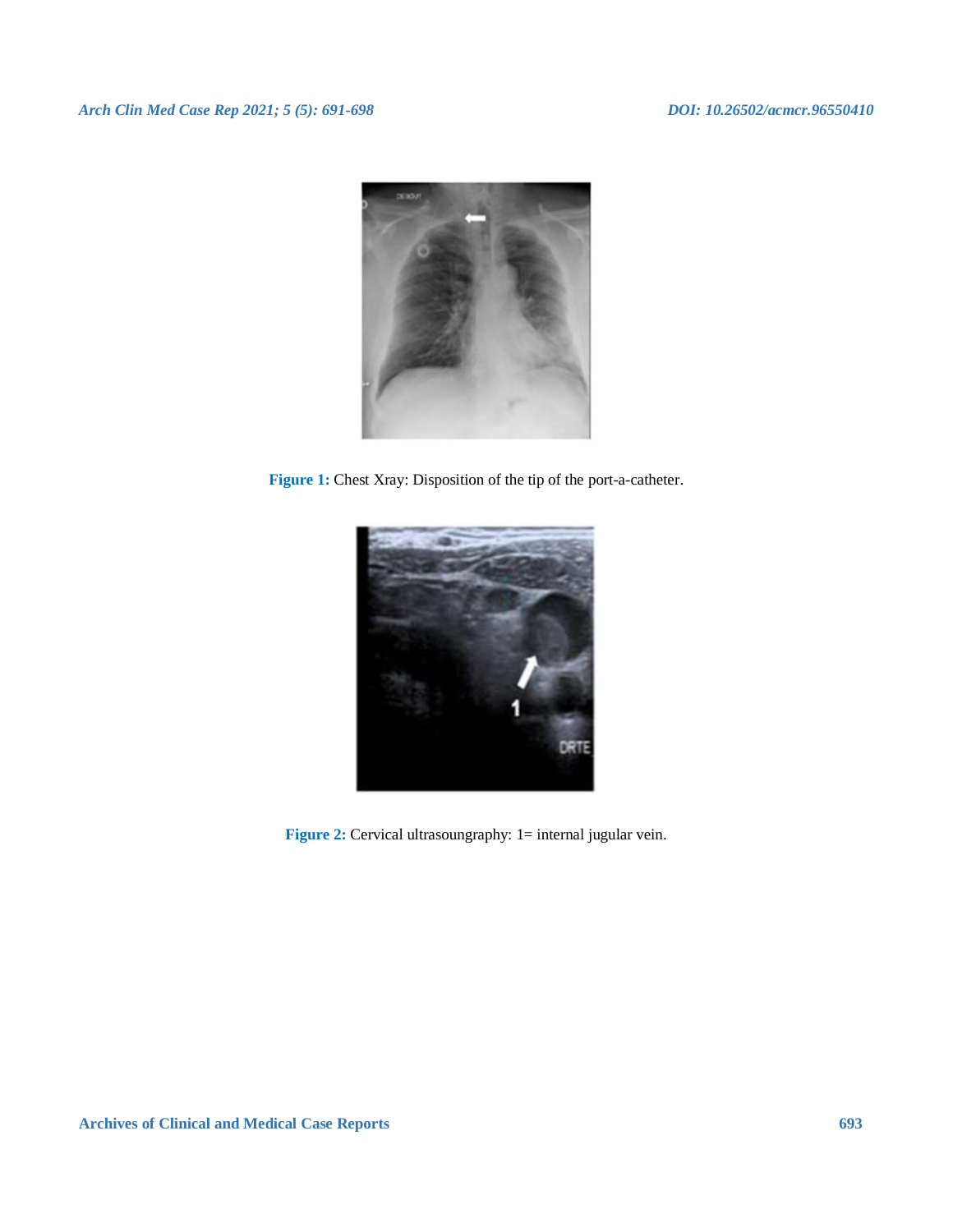

Figure 1: Chest Xray: Disposition of the tip of the port-a-catheter.



**Figure 2:** Cervical ultrasoungraphy: 1= internal jugular vein.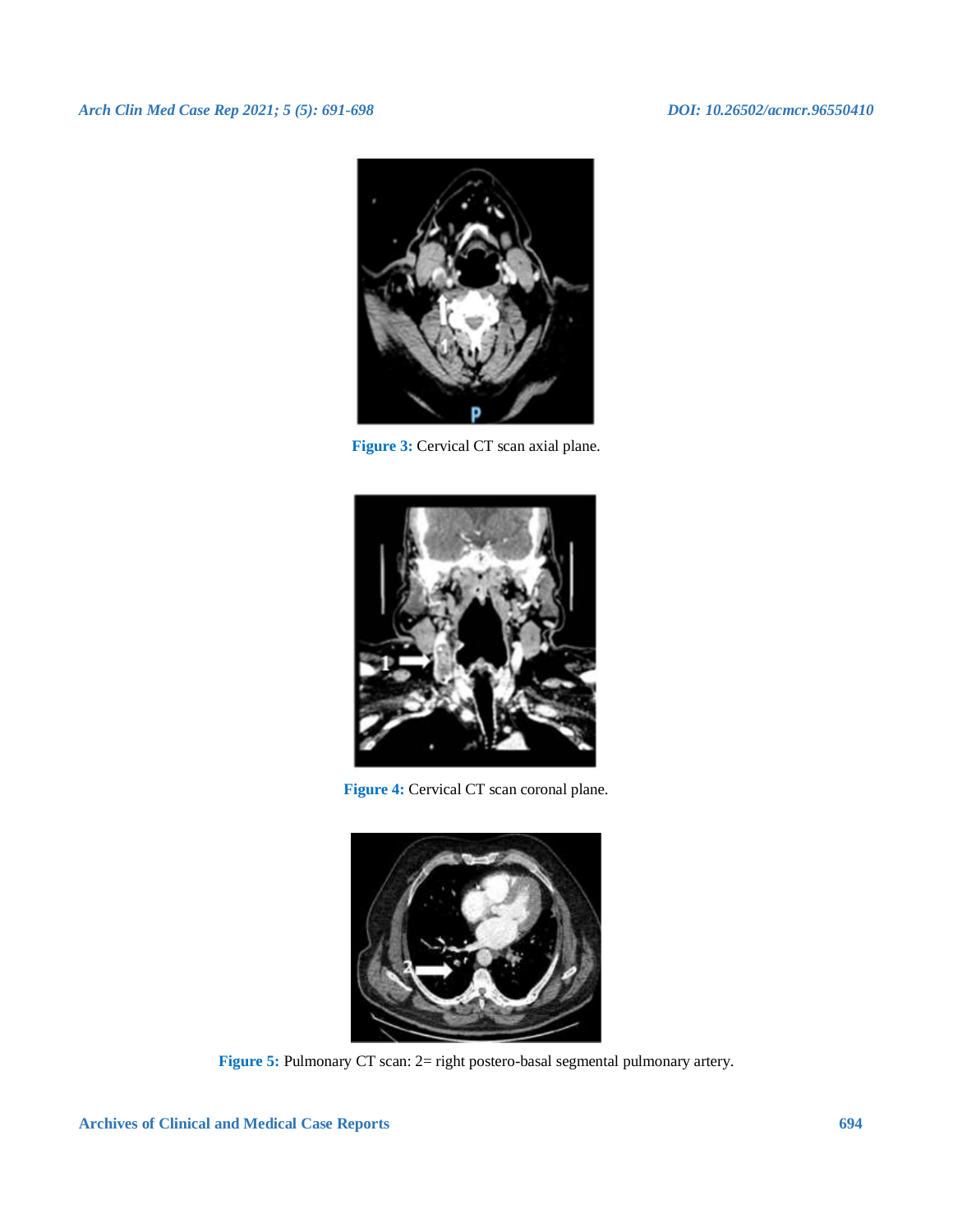# *Arch Clin Med Case Rep 2021; 5 (5): 691-698 DOI: 10.26502/acmcr.96550410*



**Figure 3:** Cervical CT scan axial plane.



**Figure 4:** Cervical CT scan coronal plane.



Figure 5: Pulmonary CT scan: 2= right postero-basal segmental pulmonary artery.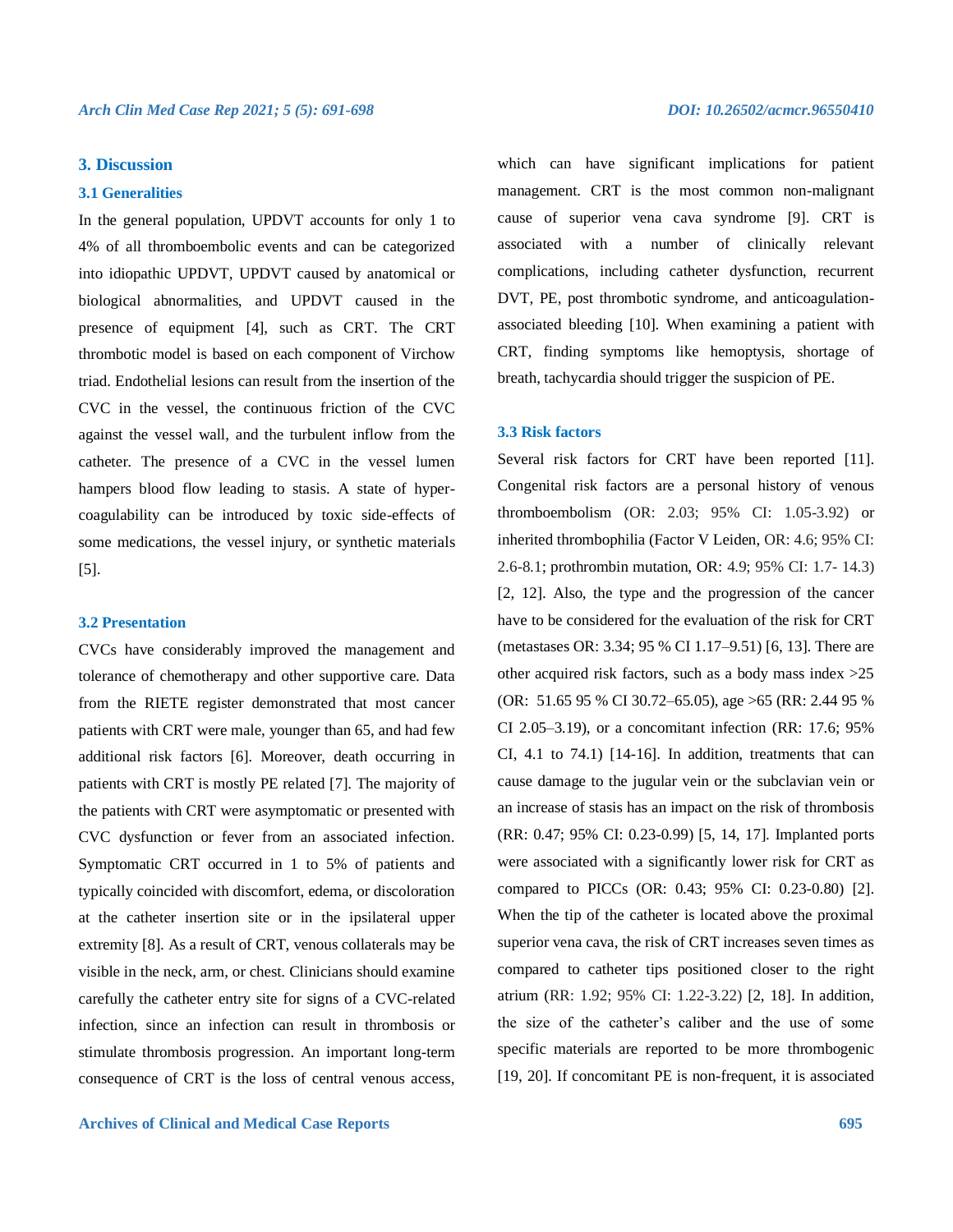# **3. Discussion**

#### **3.1 Generalities**

In the general population, UPDVT accounts for only 1 to 4% of all thromboembolic events and can be categorized into idiopathic UPDVT, UPDVT caused by anatomical or biological abnormalities, and UPDVT caused in the presence of equipment [4], such as CRT. The CRT thrombotic model is based on each component of Virchow triad. Endothelial lesions can result from the insertion of the CVC in the vessel, the continuous friction of the CVC against the vessel wall, and the turbulent inflow from the catheter. The presence of a CVC in the vessel lumen hampers blood flow leading to stasis. A state of hypercoagulability can be introduced by toxic side-effects of some medications, the vessel injury, or synthetic materials [5].

#### **3.2 Presentation**

CVCs have considerably improved the management and tolerance of chemotherapy and other supportive care. Data from the RIETE register demonstrated that most cancer patients with CRT were male, younger than 65, and had few additional risk factors [6]. Moreover, death occurring in patients with CRT is mostly PE related [7]. The majority of the patients with CRT were asymptomatic or presented with CVC dysfunction or fever from an associated infection. Symptomatic CRT occurred in 1 to 5% of patients and typically coincided with discomfort, edema, or discoloration at the catheter insertion site or in the ipsilateral upper extremity [8]. As a result of CRT, venous collaterals may be visible in the neck, arm, or chest. Clinicians should examine carefully the catheter entry site for signs of a CVC-related infection, since an infection can result in thrombosis or stimulate thrombosis progression. An important long-term consequence of CRT is the loss of central venous access,

which can have significant implications for patient management. CRT is the most common non-malignant cause of superior vena cava syndrome [9]. CRT is associated with a number of clinically relevant complications, including catheter dysfunction, recurrent DVT, PE, post thrombotic syndrome, and anticoagulationassociated bleeding [10]. When examining a patient with CRT, finding symptoms like hemoptysis, shortage of breath, tachycardia should trigger the suspicion of PE.

### **3.3 Risk factors**

Several risk factors for CRT have been reported [11]. Congenital risk factors are a personal history of venous thromboembolism (OR: 2.03; 95% CI: 1.05-3.92) or inherited thrombophilia (Factor V Leiden, OR: 4.6; 95% CI: 2.6-8.1; prothrombin mutation, OR: 4.9; 95% CI: 1.7- 14.3) [2, 12]. Also, the type and the progression of the cancer have to be considered for the evaluation of the risk for CRT (metastases OR: 3.34; 95 % CI 1.17–9.51) [6, 13]. There are other acquired risk factors, such as a body mass index >25 (OR: 51.65 95 % CI 30.72–65.05), age >65 (RR: 2.44 95 % CI 2.05–3.19), or a concomitant infection (RR: 17.6; 95% CI, 4.1 to 74.1) [14-16]. In addition, treatments that can cause damage to the jugular vein or the subclavian vein or an increase of stasis has an impact on the risk of thrombosis (RR: 0.47; 95% CI: 0.23-0.99) [5, 14, 17]. Implanted ports were associated with a significantly lower risk for CRT as compared to PICCs (OR: 0.43; 95% CI: 0.23-0.80) [2]. When the tip of the catheter is located above the proximal superior vena cava, the risk of CRT increases seven times as compared to catheter tips positioned closer to the right atrium (RR: 1.92; 95% CI: 1.22-3.22) [2, 18]. In addition, the size of the catheter's caliber and the use of some specific materials are reported to be more thrombogenic [19, 20]. If concomitant PE is non-frequent, it is associated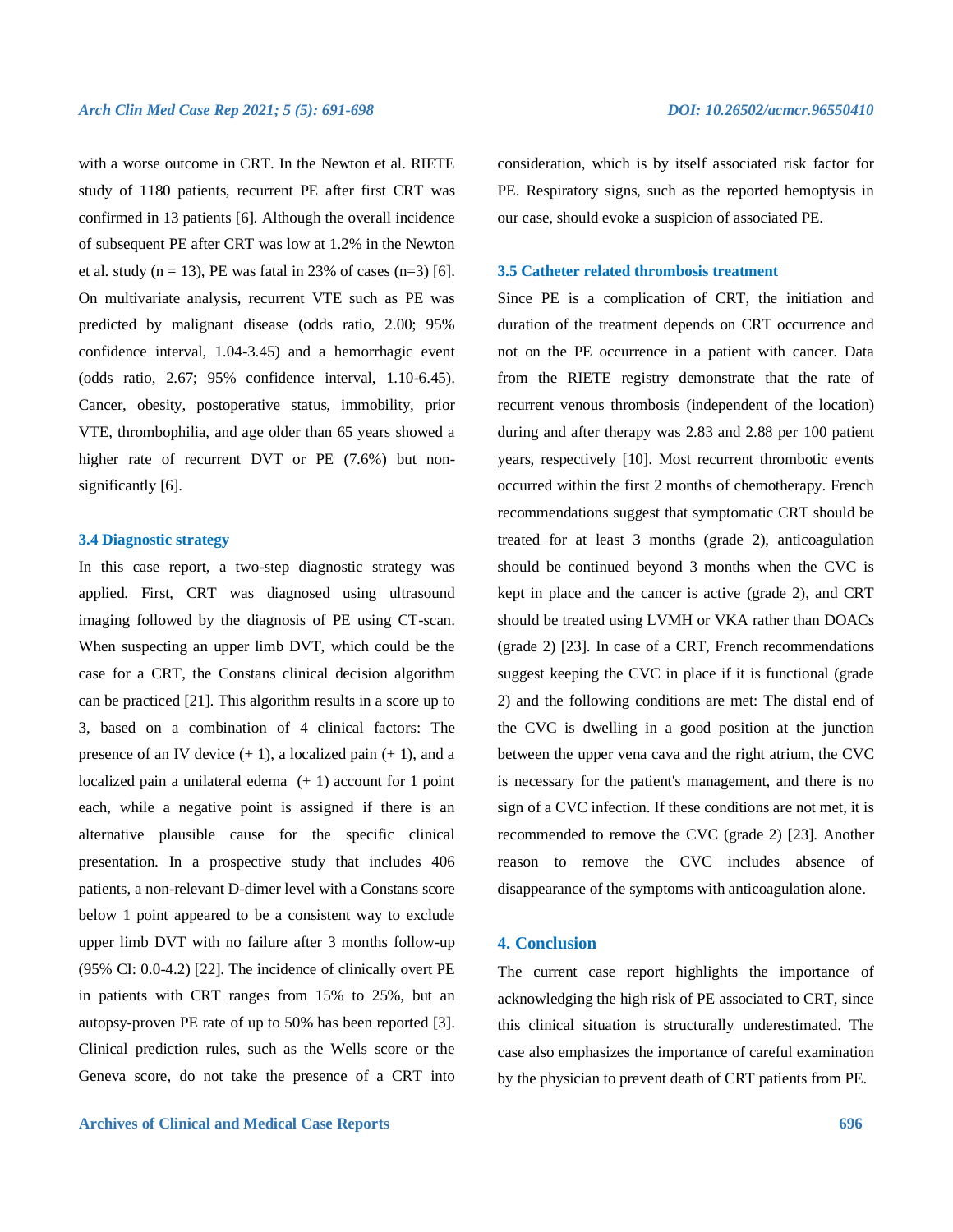with a worse outcome in CRT. In the Newton et al. RIETE study of 1180 patients, recurrent PE after first CRT was confirmed in 13 patients [6]. Although the overall incidence of subsequent PE after CRT was low at 1.2% in the Newton et al. study ( $n = 13$ ), PE was fatal in 23% of cases ( $n=3$ ) [6]. On multivariate analysis, recurrent VTE such as PE was predicted by malignant disease (odds ratio, 2.00; 95% confidence interval, 1.04-3.45) and a hemorrhagic event (odds ratio, 2.67; 95% confidence interval, 1.10-6.45). Cancer, obesity, postoperative status, immobility, prior VTE, thrombophilia, and age older than 65 years showed a higher rate of recurrent DVT or PE (7.6%) but nonsignificantly [6].

# **3.4 Diagnostic strategy**

In this case report, a two-step diagnostic strategy was applied. First, CRT was diagnosed using ultrasound imaging followed by the diagnosis of PE using CT-scan. When suspecting an upper limb DVT, which could be the case for a CRT, the Constans clinical decision algorithm can be practiced [21]. This algorithm results in a score up to 3, based on a combination of 4 clinical factors: The presence of an IV device  $(+ 1)$ , a localized pain  $(+ 1)$ , and a localized pain a unilateral edema  $(+1)$  account for 1 point each, while a negative point is assigned if there is an alternative plausible cause for the specific clinical presentation. In a prospective study that includes 406 patients, a non-relevant D-dimer level with a Constans score below 1 point appeared to be a consistent way to exclude upper limb DVT with no failure after 3 months follow-up (95% CI: 0.0-4.2) [22]. The incidence of clinically overt PE in patients with CRT ranges from 15% to 25%, but an autopsy-proven PE rate of up to 50% has been reported [3]. Clinical prediction rules, such as the Wells score or the Geneva score, do not take the presence of a CRT into consideration, which is by itself associated risk factor for PE. Respiratory signs, such as the reported hemoptysis in our case, should evoke a suspicion of associated PE.

#### **3.5 Catheter related thrombosis treatment**

Since PE is a complication of CRT, the initiation and duration of the treatment depends on CRT occurrence and not on the PE occurrence in a patient with cancer. Data from the RIETE registry demonstrate that the rate of recurrent venous thrombosis (independent of the location) during and after therapy was 2.83 and 2.88 per 100 patient years, respectively [10]. Most recurrent thrombotic events occurred within the first 2 months of chemotherapy. French recommendations suggest that symptomatic CRT should be treated for at least 3 months (grade 2), anticoagulation should be continued beyond 3 months when the CVC is kept in place and the cancer is active (grade 2), and CRT should be treated using LVMH or VKA rather than DOACs (grade 2) [23]. In case of a CRT, French recommendations suggest keeping the CVC in place if it is functional (grade 2) and the following conditions are met: The distal end of the CVC is dwelling in a good position at the junction between the upper vena cava and the right atrium, the CVC is necessary for the patient's management, and there is no sign of a CVC infection. If these conditions are not met, it is recommended to remove the CVC (grade 2) [23]. Another reason to remove the CVC includes absence of disappearance of the symptoms with anticoagulation alone.

# **4. Conclusion**

The current case report highlights the importance of acknowledging the high risk of PE associated to CRT, since this clinical situation is structurally underestimated. The case also emphasizes the importance of careful examination by the physician to prevent death of CRT patients from PE.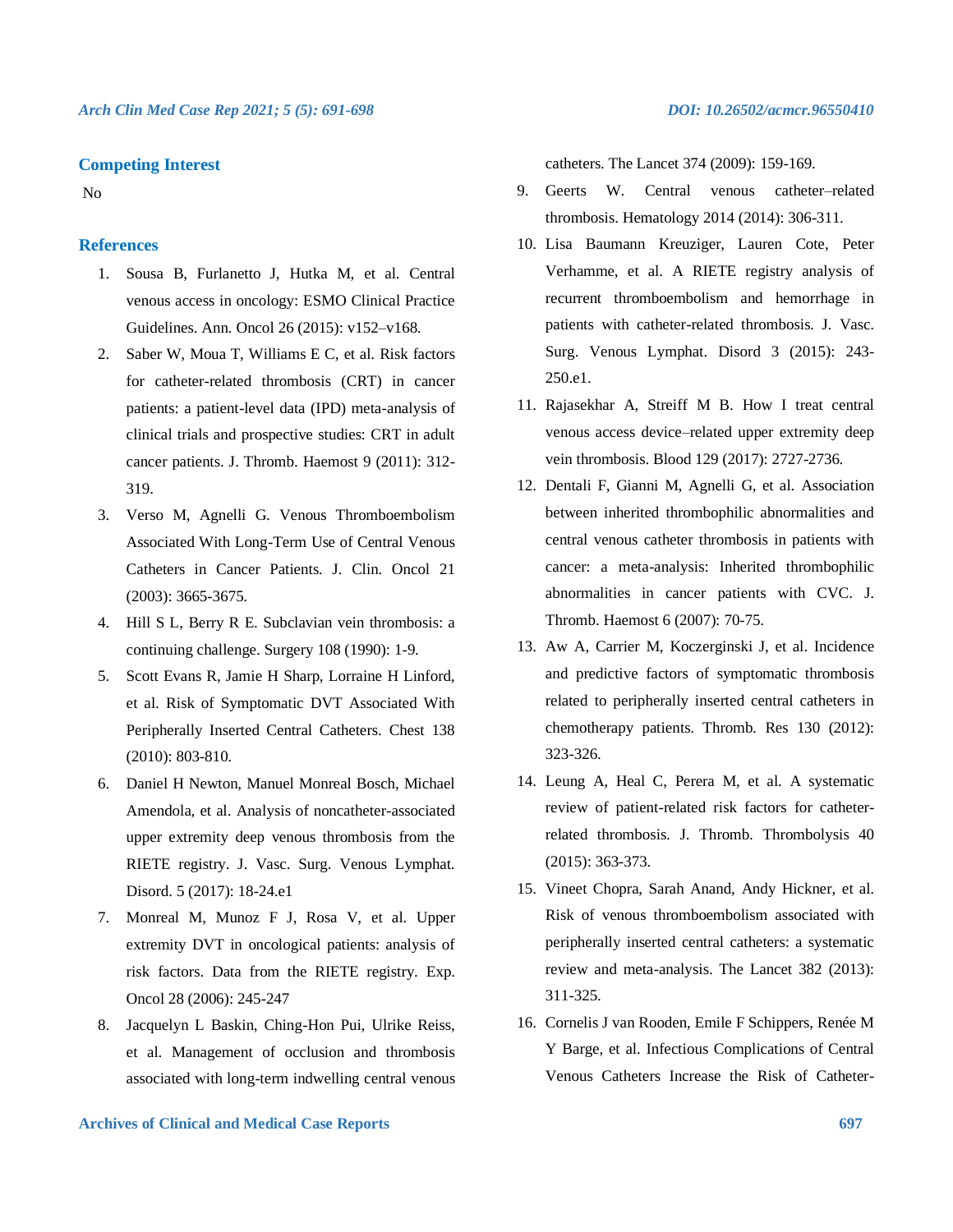# **Competing Interest**

No

# **References**

- 1. Sousa B, Furlanetto J, Hutka M, et al. Central venous access in oncology: ESMO Clinical Practice Guidelines. Ann. Oncol 26 (2015): v152–v168.
- 2. Saber W, Moua T, Williams E C, et al. Risk factors for catheter-related thrombosis (CRT) in cancer patients: a patient-level data (IPD) meta-analysis of clinical trials and prospective studies: CRT in adult cancer patients. J. Thromb. Haemost 9 (2011): 312- 319.
- 3. Verso M, Agnelli G. Venous Thromboembolism Associated With Long-Term Use of Central Venous Catheters in Cancer Patients. J. Clin. Oncol 21 (2003): 3665-3675.
- 4. Hill S L, Berry R E. Subclavian vein thrombosis: a continuing challenge. Surgery 108 (1990): 1-9.
- 5. Scott Evans R, Jamie H Sharp, Lorraine H Linford, et al. Risk of Symptomatic DVT Associated With Peripherally Inserted Central Catheters. Chest 138 (2010): 803-810.
- 6. Daniel H Newton, Manuel Monreal Bosch, Michael Amendola, et al. Analysis of noncatheter-associated upper extremity deep venous thrombosis from the RIETE registry. J. Vasc. Surg. Venous Lymphat. Disord. 5 (2017): 18-24.e1
- 7. Monreal M, Munoz F J, Rosa V, et al. Upper extremity DVT in oncological patients: analysis of risk factors. Data from the RIETE registry. Exp. Oncol 28 (2006): 245-247
- 8. Jacquelyn L Baskin, Ching-Hon Pui, Ulrike Reiss, et al. Management of occlusion and thrombosis associated with long-term indwelling central venous

catheters. The Lancet 374 (2009): 159-169.

- 9. Geerts W. Central venous catheter–related thrombosis. Hematology 2014 (2014): 306-311.
- 10. Lisa Baumann Kreuziger, Lauren Cote, Peter Verhamme, et al. A RIETE registry analysis of recurrent thromboembolism and hemorrhage in patients with catheter-related thrombosis. J. Vasc. Surg. Venous Lymphat. Disord 3 (2015): 243- 250.e1.
- 11. Rajasekhar A, Streiff M B. How I treat central venous access device–related upper extremity deep vein thrombosis. Blood 129 (2017): 2727-2736.
- 12. Dentali F, Gianni M, Agnelli G, et al. Association between inherited thrombophilic abnormalities and central venous catheter thrombosis in patients with cancer: a meta-analysis: Inherited thrombophilic abnormalities in cancer patients with CVC. J. Thromb. Haemost 6 (2007): 70-75.
- 13. Aw A, Carrier M, Koczerginski J, et al. Incidence and predictive factors of symptomatic thrombosis related to peripherally inserted central catheters in chemotherapy patients. Thromb. Res 130 (2012): 323-326.
- 14. Leung A, Heal C, Perera M, et al. A systematic review of patient-related risk factors for catheterrelated thrombosis. J. Thromb. Thrombolysis 40 (2015): 363-373.
- 15. Vineet Chopra, Sarah Anand, Andy Hickner, et al. Risk of venous thromboembolism associated with peripherally inserted central catheters: a systematic review and meta-analysis. The Lancet 382 (2013): 311-325.
- 16. Cornelis J van Rooden, Emile F Schippers, Renée M Y Barge, et al. Infectious Complications of Central Venous Catheters Increase the Risk of Catheter-